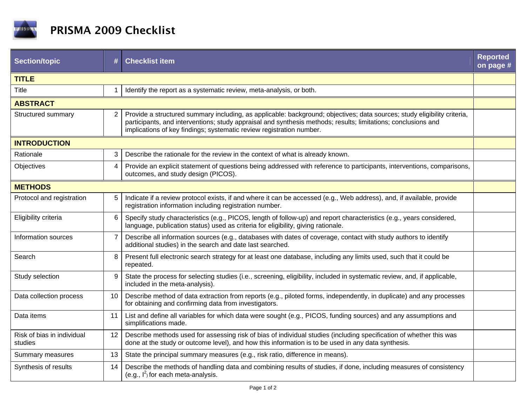

| <b>Section/topic</b>                  | #              | <b>Checklist item</b>                                                                                                                                                                                                                                                                                             | <b>Reported</b><br>on page # |  |
|---------------------------------------|----------------|-------------------------------------------------------------------------------------------------------------------------------------------------------------------------------------------------------------------------------------------------------------------------------------------------------------------|------------------------------|--|
| <b>TITLE</b>                          |                |                                                                                                                                                                                                                                                                                                                   |                              |  |
| Title                                 | 1              | Identify the report as a systematic review, meta-analysis, or both.                                                                                                                                                                                                                                               |                              |  |
| <b>ABSTRACT</b>                       |                |                                                                                                                                                                                                                                                                                                                   |                              |  |
| Structured summary                    | 2              | Provide a structured summary including, as applicable: background; objectives; data sources; study eligibility criteria,<br>participants, and interventions; study appraisal and synthesis methods; results; limitations; conclusions and<br>implications of key findings; systematic review registration number. |                              |  |
| <b>INTRODUCTION</b>                   |                |                                                                                                                                                                                                                                                                                                                   |                              |  |
| Rationale                             | 3              | Describe the rationale for the review in the context of what is already known.                                                                                                                                                                                                                                    |                              |  |
| Objectives                            | $\overline{4}$ | Provide an explicit statement of questions being addressed with reference to participants, interventions, comparisons,<br>outcomes, and study design (PICOS).                                                                                                                                                     |                              |  |
| <b>METHODS</b>                        |                |                                                                                                                                                                                                                                                                                                                   |                              |  |
| Protocol and registration             | 5              | Indicate if a review protocol exists, if and where it can be accessed (e.g., Web address), and, if available, provide<br>registration information including registration number.                                                                                                                                  |                              |  |
| Eligibility criteria                  | 6              | Specify study characteristics (e.g., PICOS, length of follow-up) and report characteristics (e.g., years considered,<br>language, publication status) used as criteria for eligibility, giving rationale.                                                                                                         |                              |  |
| Information sources                   | $\overline{7}$ | Describe all information sources (e.g., databases with dates of coverage, contact with study authors to identify<br>additional studies) in the search and date last searched.                                                                                                                                     |                              |  |
| Search                                | 8              | Present full electronic search strategy for at least one database, including any limits used, such that it could be<br>repeated.                                                                                                                                                                                  |                              |  |
| Study selection                       | 9              | State the process for selecting studies (i.e., screening, eligibility, included in systematic review, and, if applicable,<br>included in the meta-analysis).                                                                                                                                                      |                              |  |
| Data collection process               | 10             | Describe method of data extraction from reports (e.g., piloted forms, independently, in duplicate) and any processes<br>for obtaining and confirming data from investigators.                                                                                                                                     |                              |  |
| Data items                            | 11             | List and define all variables for which data were sought (e.g., PICOS, funding sources) and any assumptions and<br>simplifications made.                                                                                                                                                                          |                              |  |
| Risk of bias in individual<br>studies | 12             | Describe methods used for assessing risk of bias of individual studies (including specification of whether this was<br>done at the study or outcome level), and how this information is to be used in any data synthesis.                                                                                         |                              |  |
| Summary measures                      | 13             | State the principal summary measures (e.g., risk ratio, difference in means).                                                                                                                                                                                                                                     |                              |  |
| Synthesis of results                  | 14             | Describe the methods of handling data and combining results of studies, if done, including measures of consistency<br>(e.g., $I^2$ ) for each meta-analysis.                                                                                                                                                      |                              |  |